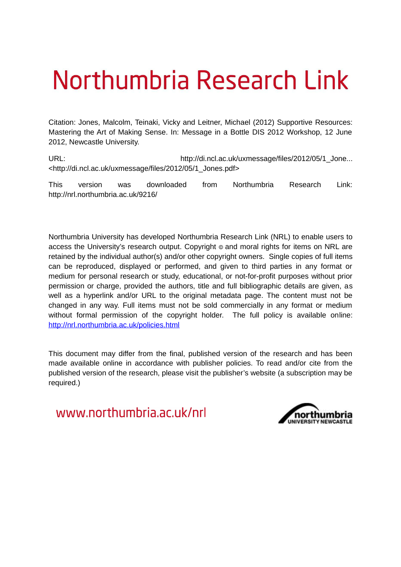# Northumbria Research Link

Citation: Jones, Malcolm, Teinaki, Vicky and Leitner, Michael (2012) Supportive Resources: Mastering the Art of Making Sense. In: Message in a Bottle DIS 2012 Workshop, 12 June 2012, Newcastle University.

URL: URL: http://di.ncl.ac.uk/uxmessage/files/2012/05/1\_Jone... <http://di.ncl.ac.uk/uxmessage/files/2012/05/1\_Jones.pdf>

This version was downloaded from Northumbria Research Link: http://nrl.northumbria.ac.uk/9216/

Northumbria University has developed Northumbria Research Link (NRL) to enable users to access the University's research output. Copyright  $\circ$  and moral rights for items on NRL are retained by the individual author(s) and/or other copyright owners. Single copies of full items can be reproduced, displayed or performed, and given to third parties in any format or medium for personal research or study, educational, or not-for-profit purposes without prior permission or charge, provided the authors, title and full bibliographic details are given, as well as a hyperlink and/or URL to the original metadata page. The content must not be changed in any way. Full items must not be sold commercially in any format or medium without formal permission of the copyright holder. The full policy is available online: <http://nrl.northumbria.ac.uk/policies.html>

This document may differ from the final, published version of the research and has been made available online in accordance with publisher policies. To read and/or cite from the published version of the research, please visit the publisher's website (a subscription may be required.)

www.northumbria.ac.uk/nrl

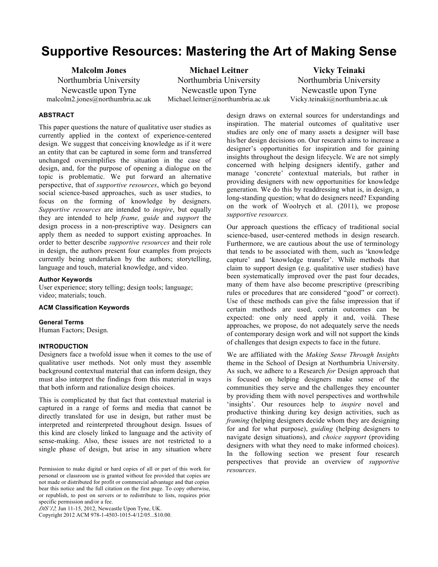# **Supportive Resources: Mastering the Art of Making Sense**

**Malcolm Jones** Northumbria University Newcastle upon Tyne malcolm2.jones@northumbria.ac.uk

**Michael Leitner** Northumbria University Newcastle upon Tyne Michael.leitner@northumbria.ac.uk

**Vicky Teinaki** Northumbria University Newcastle upon Tyne Vicky.teinaki@northumbria.ac.uk

### **ABSTRACT**

This paper questions the nature of qualitative user studies as currently applied in the context of experience-centered design. We suggest that conceiving knowledge as if it were an entity that can be captured in some form and transferred unchanged oversimplifies the situation in the case of design, and, for the purpose of opening a dialogue on the topic is problematic. We put forward an alternative perspective, that of *supportive resources*, which go beyond social science-based approaches, such as user studies, to focus on the forming of knowledge by designers. *Supportive resources* are intended to *inspire*, but equally they are intended to help *frame, guide* and *support* the design process in a non-prescriptive way. Designers can apply them as needed to support existing approaches. In order to better describe *supportive resources* and their role in design, the authors present four examples from projects currently being undertaken by the authors; storytelling, language and touch, material knowledge, and video.

#### **Author Keywords**

User experience; story telling; design tools; language; video; materials; touch.

#### **ACM Classification Keywords**

#### **General Terms**

Human Factors; Design.

# **INTRODUCTION**

Designers face a twofold issue when it comes to the use of qualitative user methods. Not only must they assemble background contextual material that can inform design, they must also interpret the findings from this material in ways that both inform and rationalize design choices.

This is complicated by that fact that contextual material is captured in a range of forms and media that cannot be directly translated for use in design, but rather must be interpreted and reinterpreted throughout design. Issues of this kind are closely linked to language and the activity of sense-making. Also, these issues are not restricted to a single phase of design, but arise in any situation where

*DIS'12,* Jun 11-15, 2012, Newcastle Upon Tyne, UK.

Copyright 2012 ACM 978-1-4503-1015-4/12/05...\$10.00.

design draws on external sources for understandings and inspiration. The material outcomes of qualitative user studies are only one of many assets a designer will base his/her design decisions on. Our research aims to increase a designer's opportunities for inspiration and for gaining insights throughout the design lifecycle. We are not simply concerned with helping designers identify, gather and manage 'concrete' contextual materials, but rather in providing designers with new opportunities for knowledge generation. We do this by readdressing what is, in design, a long-standing question; what do designers need? Expanding on the work of Woolrych et al. (2011), we propose *supportive resources.*

Our approach questions the efficacy of traditional social science-based, user-centered methods in design research. Furthermore, we are cautious about the use of terminology that tends to be associated with them, such as 'knowledge capture' and 'knowledge transfer'. While methods that claim to support design (e.g. qualitative user studies) have been systematically improved over the past four decades, many of them have also become prescriptive (prescribing rules or procedures that are considered "good" or correct). Use of these methods can give the false impression that if certain methods are used, certain outcomes can be expected: one only need apply it and, voilá. These approaches, we propose, do not adequately serve the needs of contemporary design work and will not support the kinds of challenges that design expects to face in the future.

We are affiliated with the *Making Sense Through Insights* theme in the School of Design at Northumbria University. As such, we adhere to a Research *for* Design approach that is focused on helping designers make sense of the communities they serve and the challenges they encounter by providing them with novel perspectives and worthwhile 'insights'. Our resources help to *inspire* novel and productive thinking during key design activities, such as *framing* (helping designers decide whom they are designing for and for what purpose), *guiding* (helping designers to navigate design situations), and *choice support* (providing designers with what they need to make informed choices). In the following section we present four research perspectives that provide an overview of *supportive* 

Permission to make digital or hard copies of all or part of this work for *resources*. personal or classroom use is granted without fee provided that copies are not made or distributed for profit or commercial advantage and that copies bear this notice and the full citation on the first page. To copy otherwise, or republish, to post on servers or to redistribute to lists, requires prior specific permission and/or a fee.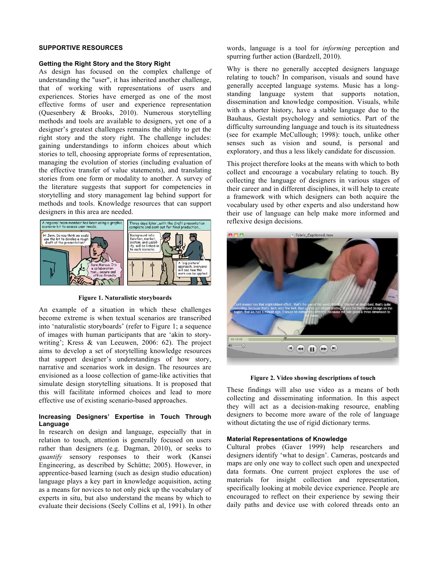# **SUPPORTIVE RESOURCES**

#### **Getting the Right Story and the Story Right**

As design has focused on the complex challenge of understanding the "user", it has inherited another challenge, that of working with representations of users and experiences. Stories have emerged as one of the most effective forms of user and experience representation (Quesenbery & Brooks, 2010). Numerous storytelling methods and tools are available to designers, yet one of a designer's greatest challenges remains the ability to get the right story and the story right. The challenge includes: gaining understandings to inform choices about which stories to tell, choosing appropriate forms of representation, managing the evolution of stories (including evaluation of the effective transfer of value statements), and translating stories from one form or modality to another. A survey of the literature suggests that support for competencies in storytelling and story management lag behind support for methods and tools. Knowledge resources that can support designers in this area are needed.



**Figure 1. Naturalistic storyboards**

An example of a situation in which these challenges become extreme is when textual scenarios are transcribed into 'naturalistic storyboards' (refer to Figure 1; a sequence of images with human participants that are 'akin to storywriting'; Kress & van Leeuwen, 2006: 62). The project aims to develop a set of storytelling knowledge resources that support designer's understandings of how story, narrative and scenarios work in design. The resources are envisioned as a loose collection of game-like activities that simulate design storytelling situations. It is proposed that this will facilitate informed choices and lead to more effective use of existing scenario-based approaches.

# **Increasing Designers' Expertise in Touch Through Language**

In research on design and language, especially that in relation to touch, attention is generally focused on users rather than designers (e.g. Dagman, 2010), or seeks to *quantify* sensory responses to their work (Kansei Engineering, as described by Schütte; 2005). However, in apprentice-based learning (such as design studio education) language plays a key part in knowledge acquisition, acting as a means for novices to not only pick up the vocabulary of experts in situ, but also understand the means by which to evaluate their decisions (Seely Collins et al, 1991). In other words, language is a tool for *informing* perception and spurring further action (Bardzell, 2010).

Why is there no generally accepted designers language relating to touch? In comparison, visuals and sound have generally accepted language systems. Music has a longstanding language system that supports notation, dissemination and knowledge composition. Visuals, while with a shorter history, have a stable language due to the Bauhaus, Gestalt psychology and semiotics. Part of the difficulty surrounding language and touch is its situatedness (see for example McCullough; 1998): touch, unlike other senses such as vision and sound, is personal and exploratory, and thus a less likely candidate for discussion.

This project therefore looks at the means with which to both collect and encourage a vocabulary relating to touch. By collecting the language of designers in various stages of their career and in different disciplines, it will help to create a framework with which designers can both acquire the vocabulary used by other experts and also understand how their use of language can help make more informed and reflexive design decisions.



#### **Figure 2. Video showing descriptions of touch**

These findings will also use video as a means of both collecting and disseminating information. In this aspect they will act as a decision-making resource, enabling designers to become more aware of the role of language without dictating the use of rigid dictionary terms.

#### **Material Representations of Knowledge**

Cultural probes (Gaver 1999) help researchers and designers identify 'what to design'. Cameras, postcards and maps are only one way to collect such open and unexpected data formats. One current project explores the use of materials for insight collection and representation, specifically looking at mobile device experience. People are encouraged to reflect on their experience by sewing their daily paths and device use with colored threads onto an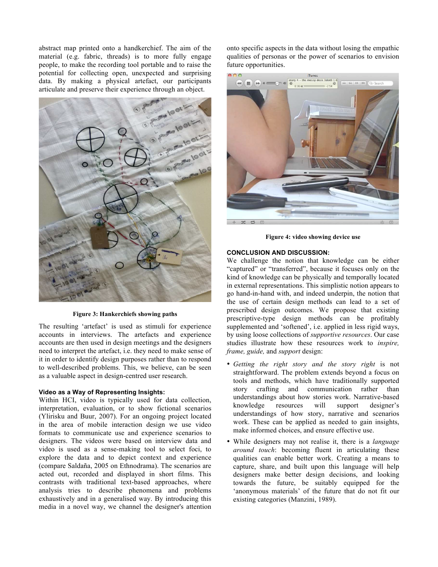abstract map printed onto a handkerchief. The aim of the material (e.g. fabric, threads) is to more fully engage people, to make the recording tool portable and to raise the potential for collecting open, unexpected and surprising data. By making a physical artefact, our participants articulate and preserve their experience through an object.



**Figure 3: Hankerchiefs showing paths**

The resulting 'artefact' is used as stimuli for experience accounts in interviews. The artefacts and experience accounts are then used in design meetings and the designers need to interpret the artefact, i.e. they need to make sense of it in order to identify design purposes rather than to respond to well-described problems. This, we believe, can be seen as a valuable aspect in design-centred user research.

#### **Video as a Way of Representing Insights:**

Within HCI, video is typically used for data collection, interpretation, evaluation, or to show fictional scenarios (Ylirisku and Buur, 2007). For an ongoing project located in the area of mobile interaction design we use video formats to communicate use and experience scenarios to designers. The videos were based on interview data and video is used as a sense-making tool to select foci, to explore the data and to depict context and experience (compare Saldaña, 2005 on Ethnodrama). The scenarios are acted out, recorded and displayed in short films. This contrasts with traditional text-based approaches, where analysis tries to describe phenomena and problems exhaustively and in a generalised way. By introducing this media in a novel way, we channel the designer's attention onto specific aspects in the data without losing the empathic qualities of personas or the power of scenarios to envision future opportunities.



**Figure 4: video showing device use**

# **CONCLUSION AND DISCUSSION:**

We challenge the notion that knowledge can be either "captured" or "transferred", because it focuses only on the kind of knowledge can be physically and temporally located in external representations. This simplistic notion appears to go hand-in-hand with, and indeed underpin, the notion that the use of certain design methods can lead to a set of prescribed design outcomes. We propose that existing prescriptive-type design methods can be profitably supplemented and 'softened', i.e. applied in less rigid ways, by using loose collections of *supportive resources*. Our case studies illustrate how these resources work to *inspire, frame, guide,* and *support* design:

- *Getting the right story and the story right* is not straightforward. The problem extends beyond a focus on tools and methods, which have traditionally supported story crafting and communication rather than understandings about how stories work. Narrative-based<br>knowledge resources will support designer's knowledge resources will support designer's understandings of how story, narrative and scenarios work. These can be applied as needed to gain insights, make informed choices, and ensure effective use.
- While designers may not realise it, there is a *language around touch*: becoming fluent in articulating these qualities can enable better work. Creating a means to capture, share, and built upon this language will help designers make better design decisions, and looking towards the future, be suitably equipped for the 'anonymous materials' of the future that do not fit our existing categories (Manzini, 1989).